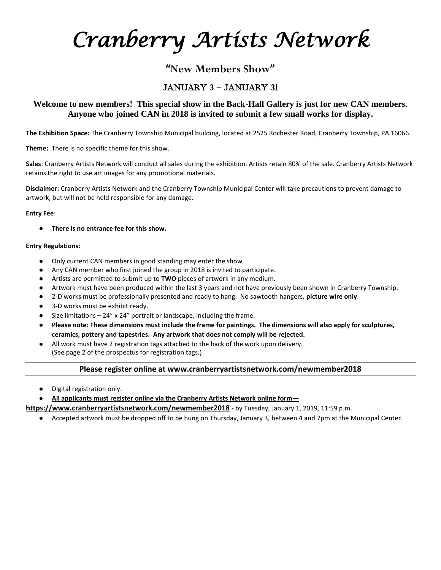*Cranberry Artists Network* 

# **"New Members Show"**

## January 3 – January 31

### **Welcome to new members! This special show in the Back-Hall Gallery is just for new CAN members. Anyone who joined CAN in 2018 is invited to submit a few small works for display.**

**The Exhibition Space:** The Cranberry Township Municipal building, located at 2525 Rochester Road, Cranberry Township, PA 16066.

**Theme:** There is no specific theme for this show.

**Sales**: Cranberry Artists Network will conduct all sales during the exhibition. Artists retain 80% of the sale. Cranberry Artists Network retains the right to use art images for any promotional materials.

**Disclaimer:** Cranberry Artists Network and the Cranberry Township Municipal Center will take precautions to prevent damage to artwork, but will not be held responsible for any damage.

#### **Entry Fee**:

● **There is no entrance fee for this show.**

### **Entry Regulations:**

- Only current CAN members in good standing may enter the show.
- Any CAN member who first joined the group in 2018 is invited to participate.
- Artists are permitted to submit up to **TWO** pieces of artwork in any medium.
- Artwork must have been produced within the last 3 years and not have previously been shown in Cranberry Township.
- 2-D works must be professionally presented and ready to hang. No sawtooth hangers, **picture wire only**.
- 3-D works must be exhibit ready.
- Size limitations  $-24''$  x 24" portrait or landscape, including the frame.
- Please note: These dimensions must include the frame for paintings. The dimensions will also apply for sculptures, **ceramics, pottery and tapestries. Any artwork that does not comply will be rejected.**
- All work must have 2 registration tags attached to the back of the work upon delivery. (See page 2 of the prospectus for registration tags.)

#### **Please register online at www.cranberryartistsnetwork.com/newmember2018**

Digital registration only.

All applicants must register online via the Cranberry Artists Network online form-

**https://www.cranberryartistsnetwork.com/newmember2018 -** by Tuesday, January 1, 2019, 11:59 p.m.

● Accepted artwork must be dropped off to be hung on Thursday, January 3, between 4 and 7pm at the Municipal Center.